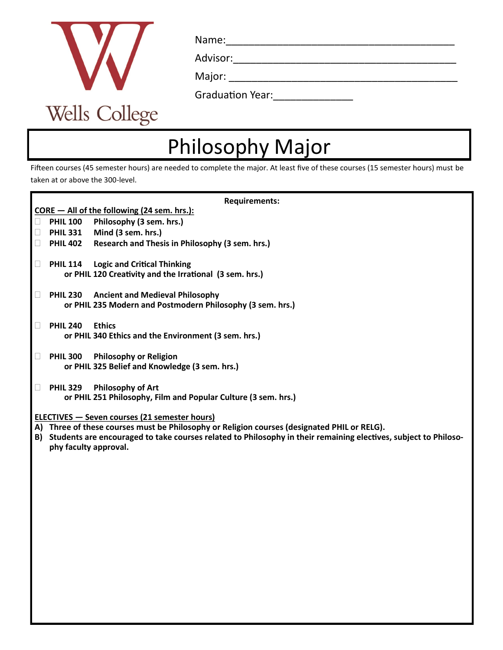

Name:\_\_\_\_\_\_\_\_\_\_\_\_\_\_\_\_\_\_\_\_\_\_\_\_\_\_\_\_\_\_\_\_\_\_\_\_\_\_\_\_

Advisor:

Major:  $\frac{1}{\sqrt{2}}$ 

| <b>Graduation Year:</b> |  |  |
|-------------------------|--|--|
|                         |  |  |

## Philosophy Major

Fifteen courses (45 semester hours) are needed to complete the major. At least five of these courses (15 semester hours) must be taken at or above the 300-level.

| <b>Requirements:</b>                                                                                               |                       |                                                                |  |  |
|--------------------------------------------------------------------------------------------------------------------|-----------------------|----------------------------------------------------------------|--|--|
|                                                                                                                    |                       | CORE - All of the following (24 sem. hrs.):                    |  |  |
| ⊔.                                                                                                                 | <b>PHIL 100</b>       | Philosophy (3 sem. hrs.)                                       |  |  |
| $\Box$                                                                                                             | <b>PHIL 331</b>       | Mind (3 sem. hrs.)                                             |  |  |
| $\Box$                                                                                                             | <b>PHIL 402</b>       | Research and Thesis in Philosophy (3 sem. hrs.)                |  |  |
| Ш                                                                                                                  | <b>PHIL 114</b>       | <b>Logic and Critical Thinking</b>                             |  |  |
|                                                                                                                    |                       | or PHIL 120 Creativity and the Irrational (3 sem. hrs.)        |  |  |
|                                                                                                                    |                       |                                                                |  |  |
| Ш                                                                                                                  | <b>PHIL 230</b>       | <b>Ancient and Medieval Philosophy</b>                         |  |  |
|                                                                                                                    |                       | or PHIL 235 Modern and Postmodern Philosophy (3 sem. hrs.)     |  |  |
|                                                                                                                    | <b>PHIL 240</b>       | <b>Ethics</b>                                                  |  |  |
|                                                                                                                    |                       | or PHIL 340 Ethics and the Environment (3 sem. hrs.)           |  |  |
|                                                                                                                    |                       |                                                                |  |  |
| Ш                                                                                                                  | <b>PHIL 300</b>       | <b>Philosophy or Religion</b>                                  |  |  |
|                                                                                                                    |                       | or PHIL 325 Belief and Knowledge (3 sem. hrs.)                 |  |  |
|                                                                                                                    |                       |                                                                |  |  |
|                                                                                                                    | <b>PHIL 329</b>       | <b>Philosophy of Art</b>                                       |  |  |
|                                                                                                                    |                       | or PHIL 251 Philosophy, Film and Popular Culture (3 sem. hrs.) |  |  |
| <b>ELECTIVES - Seven courses (21 semester hours)</b>                                                               |                       |                                                                |  |  |
| A) Three of these courses must be Philosophy or Religion courses (designated PHIL or RELG).                        |                       |                                                                |  |  |
| B) Students are encouraged to take courses related to Philosophy in their remaining electives, subject to Philoso- |                       |                                                                |  |  |
|                                                                                                                    | phy faculty approval. |                                                                |  |  |
|                                                                                                                    |                       |                                                                |  |  |
|                                                                                                                    |                       |                                                                |  |  |
|                                                                                                                    |                       |                                                                |  |  |
|                                                                                                                    |                       |                                                                |  |  |
|                                                                                                                    |                       |                                                                |  |  |
|                                                                                                                    |                       |                                                                |  |  |
|                                                                                                                    |                       |                                                                |  |  |
|                                                                                                                    |                       |                                                                |  |  |
|                                                                                                                    |                       |                                                                |  |  |
|                                                                                                                    |                       |                                                                |  |  |
|                                                                                                                    |                       |                                                                |  |  |
|                                                                                                                    |                       |                                                                |  |  |
|                                                                                                                    |                       |                                                                |  |  |
|                                                                                                                    |                       |                                                                |  |  |